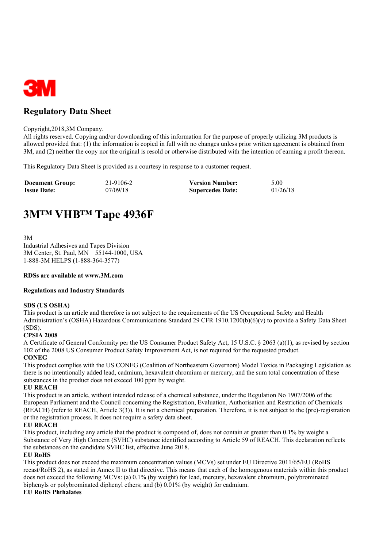

## **Regulatory Data Sheet**

#### Copyright,2018,3M Company.

All rights reserved. Copying and/or downloading of this information for the purpose of properly utilizing 3M products is allowed provided that: (1) the information is copied in full with no changes unless prior written agreement is obtained from 3M, and (2) neither the copy nor the original is resold or otherwise distributed with the intention of earning a profit thereon.

This Regulatory Data Sheet is provided as a courtesy in response to a customer request.

| <b>Document Group:</b> | 21-9106-2 | <b>Version Number:</b>  | 5.00     |
|------------------------|-----------|-------------------------|----------|
| <b>Issue Date:</b>     | 07/09/18  | <b>Supercedes Date:</b> | 01/26/18 |

# **3M™ VHB™ Tape 4936F**

3M

Industrial Adhesives and Tapes Division 3M Center, St. Paul, MN 55144-1000, USA 1-888-3M HELPS (1-888-364-3577)

#### **RDSs are available at www.3M.com**

#### **Regulations and Industry Standards**

#### **SDS (US OSHA)**

This product is an article and therefore is not subject to the requirements of the US Occupational Safety and Health Administration's (OSHA) Hazardous Communications Standard 29 CFR 1910.1200(b)(6)(v) to provide a Safety Data Sheet (SDS).

#### **CPSIA 2008**

A Certificate of General Conformity per the US Consumer Product Safety Act, 15 U.S.C. § 2063 (a)(1), as revised by section 102 of the 2008 US Consumer Product Safety Improvement Act, is not required for the requested product.

#### **CONEG**

This product complies with the US CONEG (Coalition of Northeastern Governors) Model Toxics in Packaging Legislation as there is no intentionally added lead, cadmium, hexavalent chromium or mercury, and the sum total concentration of these substances in the product does not exceed 100 ppm by weight.

#### **EU REACH**

This product is an article, without intended release of a chemical substance, under the Regulation No 1907/2006 of the European Parliament and the Council concerning the Registration, Evaluation, Authorisation and Restriction of Chemicals (REACH) (refer to REACH, Article 3(3)). It is not a chemical preparation. Therefore, it is not subject to the (pre)-registration or the registration process. It does not require a safety data sheet.

#### **EU REACH**

This product, including any article that the product is composed of, does not contain at greater than 0.1% by weight a Substance of Very High Concern (SVHC) substance identified according to Article 59 of REACH. This declaration reflects the substances on the candidate SVHC list, effective June 2018.

#### **EU RoHS**

This product does not exceed the maximum concentration values (MCVs) set under EU Directive 2011/65/EU (RoHS recast/RoHS 2), as stated in Annex II to that directive. This means that each of the homogenous materials within this product does not exceed the following MCVs: (a) 0.1% (by weight) for lead, mercury, hexavalent chromium, polybrominated biphenyls or polybrominated diphenyl ethers; and (b) 0.01% (by weight) for cadmium.

#### **EU RoHS Phthalates**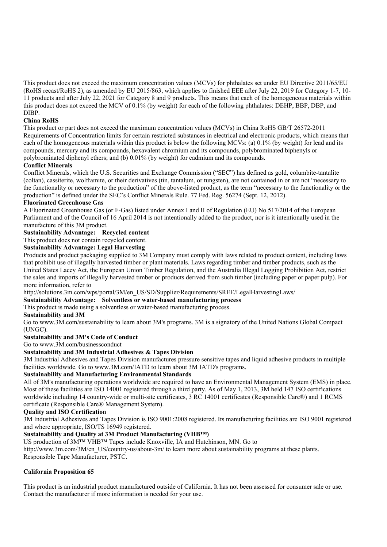This product does not exceed the maximum concentration values (MCVs) for phthalates set under EU Directive 2011/65/EU (RoHS recast/RoHS 2), as amended by EU 2015/863, which applies to finished EEE after July 22, 2019 for Category 1-7, 10- 11 products and after July 22, 2021 for Category 8 and 9 products. This means that each of the homogeneous materials within this product does not exceed the MCV of 0.1% (by weight) for each of the following phthalates: DEHP, BBP, DBP, and DIBP.

#### **China RoHS**

This product or part does not exceed the maximum concentration values (MCVs) in China RoHS GB/T 26572-2011 Requirements of Concentration limits for certain restricted substances in electrical and electronic products, which means that each of the homogeneous materials within this product is below the following MCVs: (a) 0.1% (by weight) for lead and its compounds, mercury and its compounds, hexavalent chromium and its compounds, polybrominated biphenyls or polybrominated diphenyl ethers; and (b) 0.01% (by weight) for cadmium and its compounds.

#### **Conflict Minerals**

Conflict Minerals, which the U.S. Securities and Exchange Commission ("SEC") has defined as gold, columbite-tantalite (coltan), cassiterite, wolframite, or their derivatives (tin, tantalum, or tungsten), are not contained in or are not "necessary to the functionality or necessary to the production" of the above-listed product, as the term "necessary to the functionality or the production" is defined under the SEC's Conflict Minerals Rule. 77 Fed. Reg. 56274 (Sept. 12, 2012).

#### **Fluorinated Greenhouse Gas**

A Fluorinated Greenhouse Gas (or F-Gas) listed under Annex I and II of Regulation (EU) No 517/2014 of the European Parliament and of the Council of 16 April 2014 is not intentionally added to the product, nor is it intentionally used in the manufacture of this 3M product.

#### **Sustainability Advantage: Recycled content**

This product does not contain recycled content.

#### **Sustainability Advantage: Legal Harvesting**

Products and product packaging supplied to 3M Company must comply with laws related to product content, including laws that prohibit use of illegally harvested timber or plant materials. Laws regarding timber and timber products, such as the United States Lacey Act, the European Union Timber Regulation, and the Australia Illegal Logging Prohibition Act, restrict the sales and imports of illegally harvested timber or products derived from such timber (including paper or paper pulp). For more information, refer to

http://solutions.3m.com/wps/portal/3M/en\_US/SD/Supplier/Requirements/SREE/LegalHarvestingLaws/

## **Sustainability Advantage: Solventless or water-based manufacturing process**

This product is made using a solventless or water-based manufacturing process.

#### **Sustainability and 3M**

Go to www.3M.com/sustainability to learn about 3M's programs. 3M is a signatory of the United Nations Global Compact (UNGC).

### **Sustainability and 3M's Code of Conduct**

Go to www.3M.com/businessconduct

#### **Sustainability and 3M Industrial Adhesives & Tapes Division**

3M Industrial Adhesives and Tapes Division manufactures pressure sensitive tapes and liquid adhesive products in multiple facilities worldwide. Go to www.3M.com/IATD to learn about 3M IATD's programs.

#### **Sustainability and Manufacturing Environmental Standards**

All of 3M's manufacturing operations worldwide are required to have an Environmental Management System (EMS) in place. Most of these facilities are ISO 14001 registered through a third party. As of May 1, 2013, 3M held 147 ISO certifications worldwide including 14 country-wide or multi-site certificates, 3 RC 14001 certificates (Responsible Care®) and 1 RCMS certificate (Responsible Care® Management System).

#### **Quality and ISO Certification**

3M Industrial Adhesives and Tapes Division is ISO 9001:2008 registered. Its manufacturing facilities are ISO 9001 registered and where appropriate, ISO/TS 16949 registered.

### **Sustainability and Quality at 3M Product Manufacturing (VHB™)**

US production of 3M™ VHB™ Tapes include Knoxville, IA and Hutchinson, MN. Go to http://www.3m.com/3M/en\_US/country-us/about-3m/ to learn more about sustainability programs at these plants.

Responsible Tape Manufacturer, PSTC.

#### **California Proposition 65**

This product is an industrial product manufactured outside of California. It has not been assessed for consumer sale or use. Contact the manufacturer if more information is needed for your use.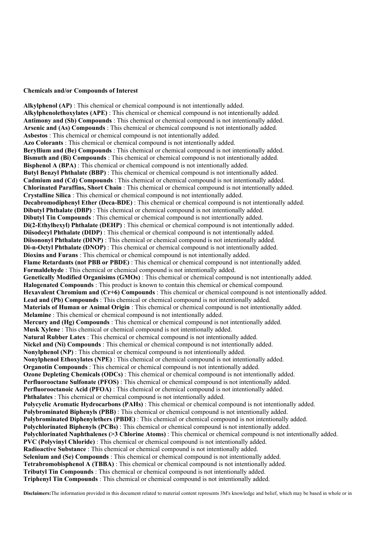#### **Chemicals and/or Compounds of Interest**

**Alkylphenol (AP)** : This chemical or chemical compound is not intentionally added. **Alkylphenolethoxylates (APE)** : This chemical or chemical compound is not intentionally added. **Antimony and (Sb) Compounds** : This chemical or chemical compound is not intentionally added. **Arsenic and (As) Compounds** : This chemical or chemical compound is not intentionally added. **Asbestos** : This chemical or chemical compound is not intentionally added. **Azo Colorants** : This chemical or chemical compound is not intentionally added. **Beryllium and (Be) Compounds** : This chemical or chemical compound is not intentionally added. **Bismuth and (Bi) Compounds** : This chemical or chemical compound is not intentionally added. **Bisphenol A (BPA)** : This chemical or chemical compound is not intentionally added. **Butyl Benzyl Phthalate (BBP)** : This chemical or chemical compound is not intentionally added. **Cadmium and (Cd) Compounds** : This chemical or chemical compound is not intentionally added. **Chlorinated Paraffins, Short Chain** : This chemical or chemical compound is not intentionally added. **Crystalline Silica** : This chemical or chemical compound is not intentionally added. **Decabromodiphenyl Ether (Deca-BDE)** : This chemical or chemical compound is not intentionally added. **Dibutyl Phthalate (DBP)** : This chemical or chemical compound is not intentionally added. **Dibutyl Tin Compounds** : This chemical or chemical compound is not intentionally added. **Di(2-Ethylhexyl) Phthalate (DEHP)** : This chemical or chemical compound is not intentionally added. **Diisodecyl Phthalate (DIDP)** : This chemical or chemical compound is not intentionally added. **Diisononyl Phthalate (DINP)** : This chemical or chemical compound is not intentionally added. **Di-n-Octyl Phthalate (DNOP)** : This chemical or chemical compound is not intentionally added. **Dioxins and Furans** : This chemical or chemical compound is not intentionally added. **Flame Retardants (not PBB or PBDE)** : This chemical or chemical compound is not intentionally added. **Formaldehyde** : This chemical or chemical compound is not intentionally added. **Genetically Modified Organisims (GMOs)** : This chemical or chemical compound is not intentionally added. **Halogenated Compounds** : This product is known to contain this chemical or chemical compound. **Hexavalent Chromium and (Cr+6) Compounds** : This chemical or chemical compound is not intentionally added. **Lead and (Pb) Compounds** : This chemical or chemical compound is not intentionally added. **Materials of Human or Animal Origin** : This chemical or chemical compound is not intentionally added. **Melamine** : This chemical or chemical compound is not intentionally added. **Mercury and (Hg) Compounds** : This chemical or chemical compound is not intentionally added. **Musk Xylene** : This chemical or chemical compound is not intentionally added. **Natural Rubber Latex** : This chemical or chemical compound is not intentionally added. **Nickel and (Ni) Compounds** : This chemical or chemical compound is not intentionally added. **Nonylphenol (NP)** : This chemical or chemical compound is not intentionally added. **Nonylphenol Ethoxylates (NPE)** : This chemical or chemical compound is not intentionally added. **Organotin Compounds** : This chemical or chemical compound is not intentionally added. **Ozone Depleting Chemicals (ODCs)** : This chemical or chemical compound is not intentionally added. **Perfluorooctane Sulfonate (PFOS)** : This chemical or chemical compound is not intentionally added. **Perfluorooctanoic Acid (PFOA)** : This chemical or chemical compound is not intentionally added. **Phthalates** : This chemical or chemical compound is not intentionally added. **Polycyclic Aromatic Hydrocarbons (PAHs)** : This chemical or chemical compound is not intentionally added. **Polybrominated Biphenyls (PBB)** : This chemical or chemical compound is not intentionally added. **Polybrominated Diphenylethers (PBDE)** : This chemical or chemical compound is not intentionally added. **Polychlorinated Biphenyls (PCBs)** : This chemical or chemical compound is not intentionally added. **Polychlorinated Naphthalenes (>3 Chlorine Atoms)** : This chemical or chemical compound is not intentionally added. **PVC (Polyvinyl Chloride)** : This chemical or chemical compound is not intentionally added. **Radioactive Substance** : This chemical or chemical compound is not intentionally added. **Selenium and (Se) Compounds** : This chemical or chemical compound is not intentionally added. **Tetrabromobisphenol A (TBBA)** : This chemical or chemical compound is not intentionally added. **Tributyl Tin Compounds** : This chemical or chemical compound is not intentionally added. **Triphenyl Tin Compounds** : This chemical or chemical compound is not intentionally added.

**Disclaimers:**The information provided in this document related to material content represents 3M's knowledge and belief, which may be based in whole or in